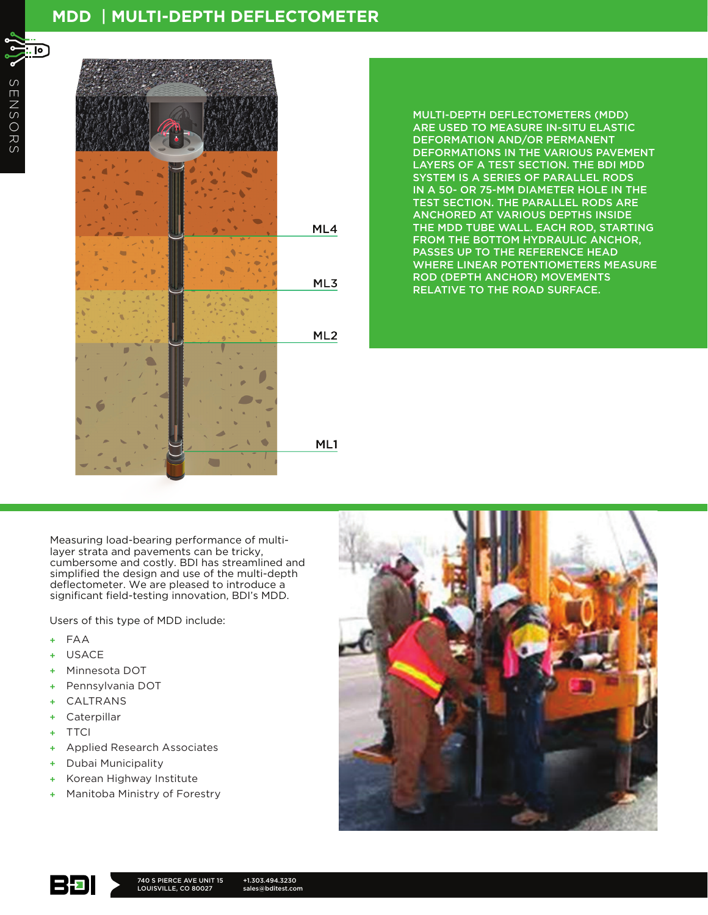## **MDD** | **MULTI-DEPTH DEFLECTOMETER**



MULTI-DEPTH DEFLECTOMETERS (MDD) ARE USED TO MEASURE IN-SITU ELASTIC DEFORMATION AND/OR PERMANENT DEFORMATIONS IN THE VARIOUS PAVEMENT LAYERS OF A TEST SECTION. THE BDI MDD SYSTEM IS A SERIES OF PARALLEL RODS IN A 50- OR 75-MM DIAMETER HOLE IN THE TEST SECTION. THE PARALLEL RODS ARE ANCHORED AT VARIOUS DEPTHS INSIDE THE MDD TUBE WALL. EACH ROD, STARTING FROM THE BOTTOM HYDRAULIC ANCHOR, PASSES UP TO THE REFERENCE HEAD WHERE LINEAR POTENTIOMETERS MEASURE ROD (DEPTH ANCHOR) MOVEMENTS RELATIVE TO THE ROAD SURFACE.

Measuring load-bearing performance of multilayer strata and pavements can be tricky, cumbersome and costly. BDI has streamlined and simplified the design and use of the multi-depth deflectometer. We are pleased to introduce a significant field-testing innovation, BDI's MDD.

Users of this type of MDD include:

- + FAA
- + USACE
- + Minnesota DOT
- + Pennsylvania DOT
- + CALTRANS
- + Caterpillar
- + TTCI
- + Applied Research Associates
- + Dubai Municipality
- Korean Highway Institute
- + Manitoba Ministry of Forestry





+1.303.494.3230 sales@bditest.com

. lo ]